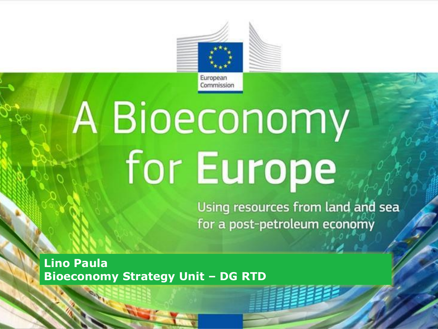

# Bioeconomy **For Europe** • in Europe

for a post-petroleum economy

**Lino Paula Bioeconomy Strategy Unit – DG RTD**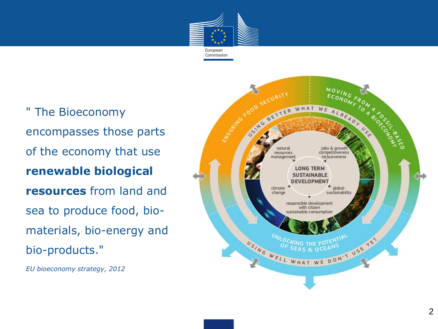

• " The Bioeconomy encompasses those parts of the economy that use **renewable biological resources** from land and sea to produce food, bio materials, bio -energy and bio -products."

• *EU bioeconomy strategy, 2012*

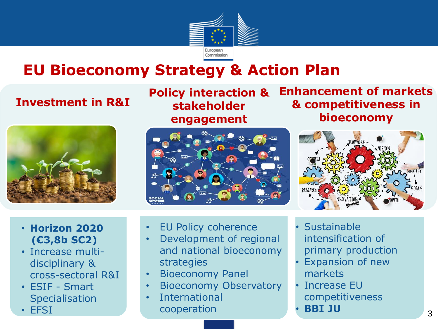

### **EU Bioeconomy Strategy & Action Plan**

#### **Investment in R&I**

- **Horizon 2020 (€3,8b SC2)**
- Increase multidisciplinary & cross-sectoral R&I
- ESIF Smart **Specialisation**
- EFSI

**Policy interaction & stakeholder engagement**



**Enhancement of markets & competitiveness in bioeconomy**



- EU Policy coherence
- Development of regional and national bioeconomy strategies
- Bioeconomy Panel
- Bioeconomy Observatory
- **International** cooperation
- **Sustainable** intensification of primary production
- **Expansion of new** markets
- Increase EU competitiveness
- **BBI JU**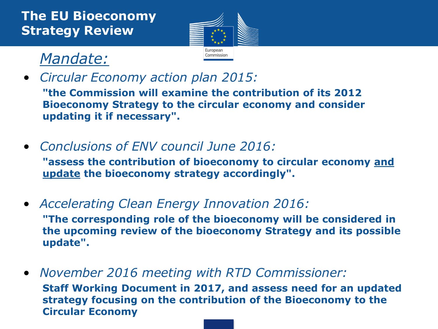

### • *Mandate:*

• *Circular Economy action plan 2015:* 

**"the Commission will examine the contribution of its 2012 Bioeconomy Strategy to the circular economy and consider updating it if necessary".**

• *Conclusions of ENV council June 2016:*

**"assess the contribution of bioeconomy to circular economy and update the bioeconomy strategy accordingly".**

- *Accelerating Clean Energy Innovation 2016:* **"The corresponding role of the bioeconomy will be considered in the upcoming review of the bioeconomy Strategy and its possible update".**
- *November 2016 meeting with RTD Commissioner:* **Staff Working Document in 2017, and assess need for an updated strategy focusing on the contribution of the Bioeconomy to the Circular Economy**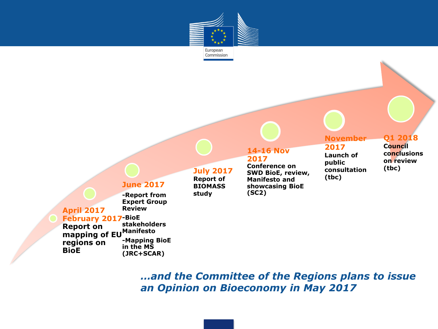



**BioE** 

**(JRC+SCAR)** 

*…and the Committee of the Regions plans to issue an Opinion on Bioeconomy in May 2017*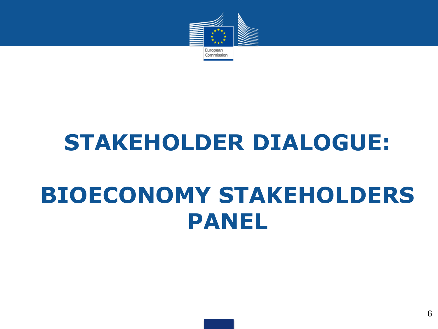

### **STAKEHOLDER DIALOGUE:**

## **BIOECONOMY STAKEHOLDERS PANEL**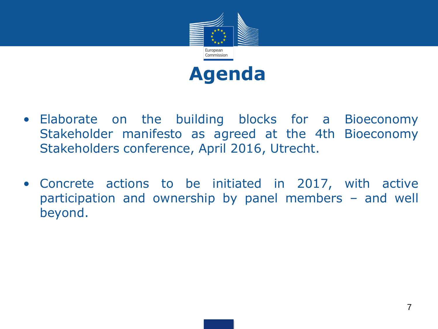



- Elaborate on the building blocks for a Bioeconomy Stakeholder manifesto as agreed at the 4th Bioeconomy Stakeholders conference, April 2016, Utrecht.
- Concrete actions to be initiated in 2017, with active participation and ownership by panel members – and well beyond.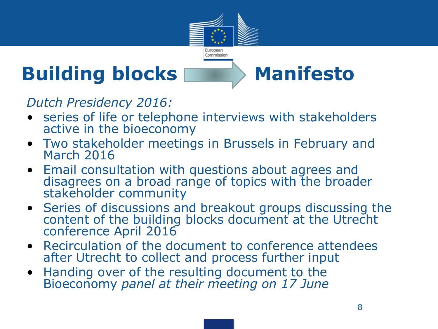

### **Building blocks Manifesto**

*Dutch Presidency 2016:*

- series of life or telephone interviews with stakeholders active in the bioeconomy
- Two stakeholder meetings in Brussels in February and March 2016
- Email consultation with questions about agrees and disagrees on a broad range of topics with the broader stakeholder community
- Series of discussions and breakout groups discussing the content of the building blocks document at the Utrecht conference April 2016
- Recirculation of the document to conference attendees after Utrecht to collect and process further input
- Handing over of the resulting document to the Bioeconomy *panel at their meeting on 17 June*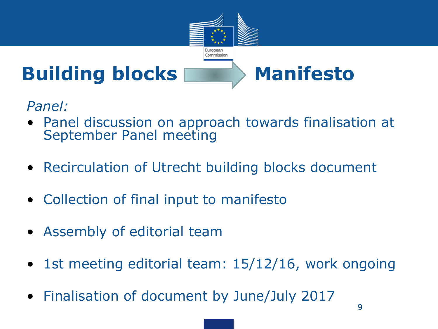

*Panel:*

- Panel discussion on approach towards finalisation at September Panel meeting
- Recirculation of Utrecht building blocks document
- Collection of final input to manifesto
- Assembly of editorial team
- 1st meeting editorial team: 15/12/16, work ongoing
- Finalisation of document by June/July 2017